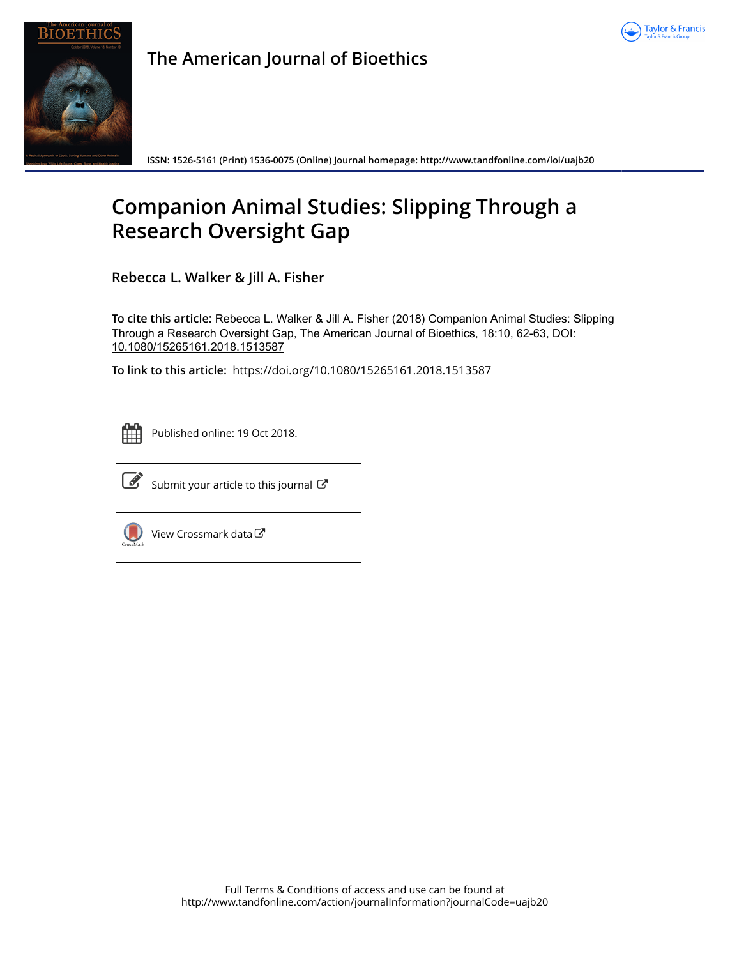



**The American Journal of Bioethics**

**ISSN: 1526-5161 (Print) 1536-0075 (Online) Journal homepage:<http://www.tandfonline.com/loi/uajb20>**

## **Companion Animal Studies: Slipping Through a Research Oversight Gap**

**Rebecca L. Walker & Jill A. Fisher**

**To cite this article:** Rebecca L. Walker & Jill A. Fisher (2018) Companion Animal Studies: Slipping Through a Research Oversight Gap, The American Journal of Bioethics, 18:10, 62-63, DOI: [10.1080/15265161.2018.1513587](http://www.tandfonline.com/action/showCitFormats?doi=10.1080/15265161.2018.1513587)

**To link to this article:** <https://doi.org/10.1080/15265161.2018.1513587>



Published online: 19 Oct 2018.



 $\overrightarrow{S}$  [Submit your article to this journal](http://www.tandfonline.com/action/authorSubmission?journalCode=uajb20&show=instructions)  $\overrightarrow{S}$ 



[View Crossmark data](http://crossmark.crossref.org/dialog/?doi=10.1080/15265161.2018.1513587&domain=pdf&date_stamp=2018-10-19)<sup>で</sup>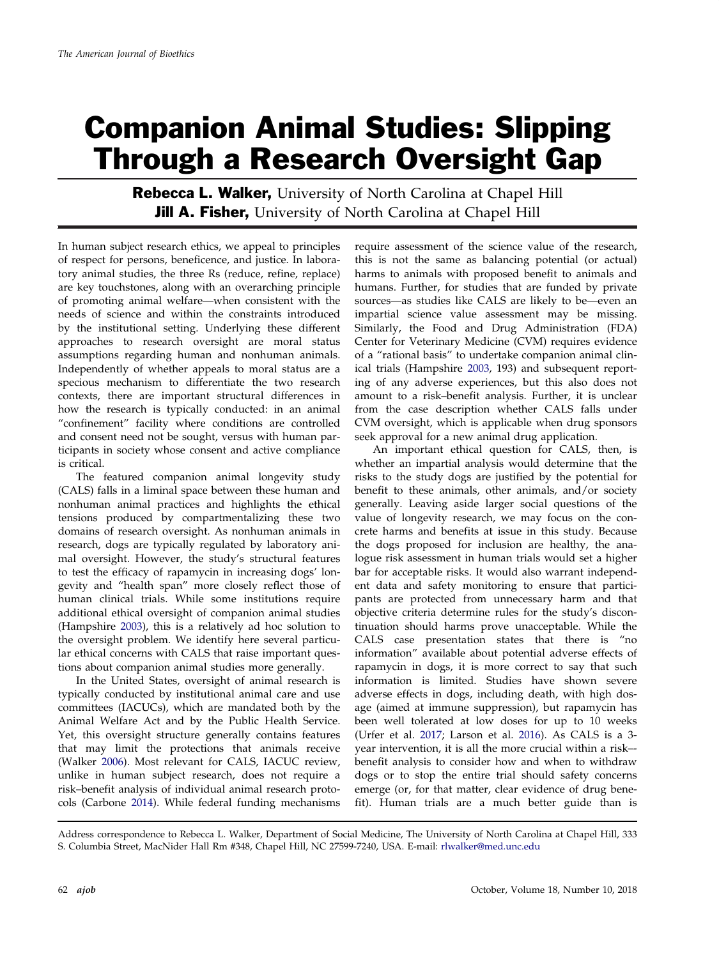## Companion Animal Studies: Slipping Through a Research Oversight Gap

Rebecca L. Walker, University of North Carolina at Chapel Hill **Jill A. Fisher,** University of North Carolina at Chapel Hill

In human subject research ethics, we appeal to principles of respect for persons, beneficence, and justice. In laboratory animal studies, the three Rs (reduce, refine, replace) are key touchstones, along with an overarching principle of promoting animal welfare—when consistent with the needs of science and within the constraints introduced by the institutional setting. Underlying these different approaches to research oversight are moral status assumptions regarding human and nonhuman animals. Independently of whether appeals to moral status are a specious mechanism to differentiate the two research contexts, there are important structural differences in how the research is typically conducted: in an animal "confinement" facility where conditions are controlled and consent need not be sought, versus with human participants in society whose consent and active compliance is critical.

The featured companion animal longevity study (CALS) falls in a liminal space between these human and nonhuman animal practices and highlights the ethical tensions produced by compartmentalizing these two domains of research oversight. As nonhuman animals in research, dogs are typically regulated by laboratory animal oversight. However, the study's structural features to test the efficacy of rapamycin in increasing dogs' longevity and "health span" more closely reflect those of human clinical trials. While some institutions require additional ethical oversight of companion animal studies (Hampshire [2003\)](#page--1-0), this is a relatively ad hoc solution to the oversight problem. We identify here several particular ethical concerns with CALS that raise important questions about companion animal studies more generally.

In the United States, oversight of animal research is typically conducted by institutional animal care and use committees (IACUCs), which are mandated both by the Animal Welfare Act and by the Public Health Service. Yet, this oversight structure generally contains features that may limit the protections that animals receive (Walker [2006\)](#page--1-0). Most relevant for CALS, IACUC review, unlike in human subject research, does not require a risk–benefit analysis of individual animal research protocols (Carbone [2014](#page--1-0)). While federal funding mechanisms require assessment of the science value of the research, this is not the same as balancing potential (or actual) harms to animals with proposed benefit to animals and humans. Further, for studies that are funded by private sources—as studies like CALS are likely to be—even an impartial science value assessment may be missing. Similarly, the Food and Drug Administration (FDA) Center for Veterinary Medicine (CVM) requires evidence of a "rational basis" to undertake companion animal clinical trials (Hampshire [2003](#page--1-0), 193) and subsequent reporting of any adverse experiences, but this also does not amount to a risk–benefit analysis. Further, it is unclear from the case description whether CALS falls under CVM oversight, which is applicable when drug sponsors seek approval for a new animal drug application.

An important ethical question for CALS, then, is whether an impartial analysis would determine that the risks to the study dogs are justified by the potential for benefit to these animals, other animals, and/or society generally. Leaving aside larger social questions of the value of longevity research, we may focus on the concrete harms and benefits at issue in this study. Because the dogs proposed for inclusion are healthy, the analogue risk assessment in human trials would set a higher bar for acceptable risks. It would also warrant independent data and safety monitoring to ensure that participants are protected from unnecessary harm and that objective criteria determine rules for the study's discontinuation should harms prove unacceptable. While the CALS case presentation states that there is "no information" available about potential adverse effects of rapamycin in dogs, it is more correct to say that such information is limited. Studies have shown severe adverse effects in dogs, including death, with high dosage (aimed at immune suppression), but rapamycin has been well tolerated at low doses for up to 10 weeks (Urfer et al. [2017](#page--1-0); Larson et al. [2016\)](#page--1-0). As CALS is a 3 year intervention, it is all the more crucial within a risk– benefit analysis to consider how and when to withdraw dogs or to stop the entire trial should safety concerns emerge (or, for that matter, clear evidence of drug benefit). Human trials are a much better guide than is

Address correspondence to Rebecca L. Walker, Department of Social Medicine, The University of North Carolina at Chapel Hill, 333 S. Columbia Street, MacNider Hall Rm #348, Chapel Hill, NC 27599-7240, USA. E-mail: rlwalker@med.unc.edu